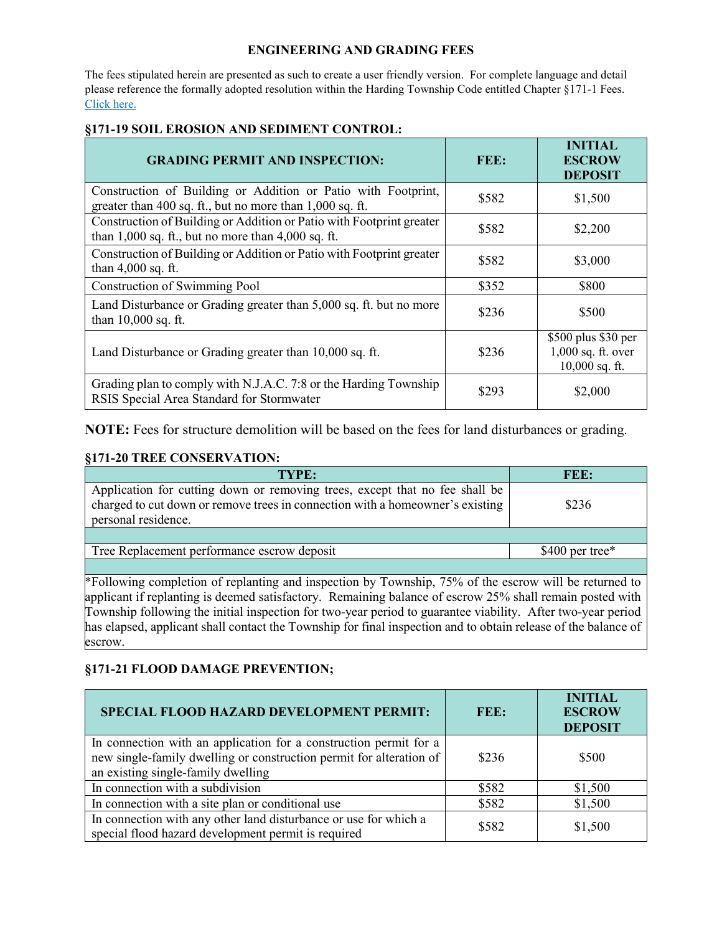## **ENGINEERING AND GRADING FEES**

The fees stipulated herein are presented as such to create a user friendly version. For complete language and detail please reference the formally adopted resolution within the Harding Township Code entitled Chapter §171-1 Fees. [Click here.](https://www.hardingnj.org/government/documents/department-documents/township-fees/980-tc-resolution-074-ammending-fees-for-2021-2-8-21/file)

| <b>GRADING PERMIT AND INSPECTION:</b>                                                                                          | FEE:  | <b>INITIAL</b><br><b>ESCROW</b><br><b>DEPOSIT</b>               |
|--------------------------------------------------------------------------------------------------------------------------------|-------|-----------------------------------------------------------------|
| Construction of Building or Addition or Patio with Footprint,<br>greater than 400 sq. ft., but no more than 1,000 sq. ft.      | \$582 | \$1,500                                                         |
| Construction of Building or Addition or Patio with Footprint greater<br>than $1,000$ sq. ft., but no more than $4,000$ sq. ft. | \$582 | \$2,200                                                         |
| Construction of Building or Addition or Patio with Footprint greater<br>than $4,000$ sq. ft.                                   | \$582 | \$3,000                                                         |
| Construction of Swimming Pool                                                                                                  | \$352 | \$800                                                           |
| Land Disturbance or Grading greater than 5,000 sq. ft. but no more<br>than 10,000 sq. ft.                                      | \$236 | \$500                                                           |
| Land Disturbance or Grading greater than 10,000 sq. ft.                                                                        | \$236 | \$500 plus \$30 per<br>$1,000$ sq. ft. over<br>$10,000$ sq. ft. |
| Grading plan to comply with N.J.A.C. 7:8 or the Harding Township<br>RSIS Special Area Standard for Stormwater                  | \$293 | \$2,000                                                         |

## **§171-19 SOIL EROSION AND SEDIMENT CONTROL:**

**NOTE:** Fees for structure demolition will be based on the fees for land disturbances or grading.

## **§171-20 TREE CONSERVATION:**

| TYPE:                                                                                                                                                                                                                                                                          | FEE:             |  |
|--------------------------------------------------------------------------------------------------------------------------------------------------------------------------------------------------------------------------------------------------------------------------------|------------------|--|
| Application for cutting down or removing trees, except that no fee shall be<br>charged to cut down or remove trees in connection with a homeowner's existing<br>personal residence.                                                                                            | \$236            |  |
|                                                                                                                                                                                                                                                                                |                  |  |
| Tree Replacement performance escrow deposit                                                                                                                                                                                                                                    | $$400$ per tree* |  |
|                                                                                                                                                                                                                                                                                |                  |  |
| *Following completion of replanting and inspection by Township, 75% of the escrow will be returned to<br>$\mathbf{a}$ and $\mathbf{a}$ and $\mathbf{a}$ and $\mathbf{a}$ and $\mathbf{a}$ and $\mathbf{a}$ and $\mathbf{a}$ and $\mathbf{a}$ and $\mathbf{a}$ and $\mathbf{a}$ |                  |  |

applicant if replanting is deemed satisfactory. Remaining balance of escrow 25% shall remain posted with Township following the initial inspection for two-year period to guarantee viability. After two-year period has elapsed, applicant shall contact the Township for final inspection and to obtain release of the balance of escrow.

## **§171-21 FLOOD DAMAGE PREVENTION;**

| SPECIAL FLOOD HAZARD DEVELOPMENT PERMIT:                                                                                                                                       | FEE:  | <b>INITIAL</b><br><b>ESCROW</b><br><b>DEPOSIT</b> |
|--------------------------------------------------------------------------------------------------------------------------------------------------------------------------------|-------|---------------------------------------------------|
| In connection with an application for a construction permit for a<br>new single-family dwelling or construction permit for alteration of<br>an existing single-family dwelling | \$236 | \$500                                             |
| In connection with a subdivision                                                                                                                                               | \$582 | \$1,500                                           |
| In connection with a site plan or conditional use                                                                                                                              | \$582 | \$1,500                                           |
| In connection with any other land disturbance or use for which a<br>special flood hazard development permit is required                                                        | \$582 | \$1,500                                           |